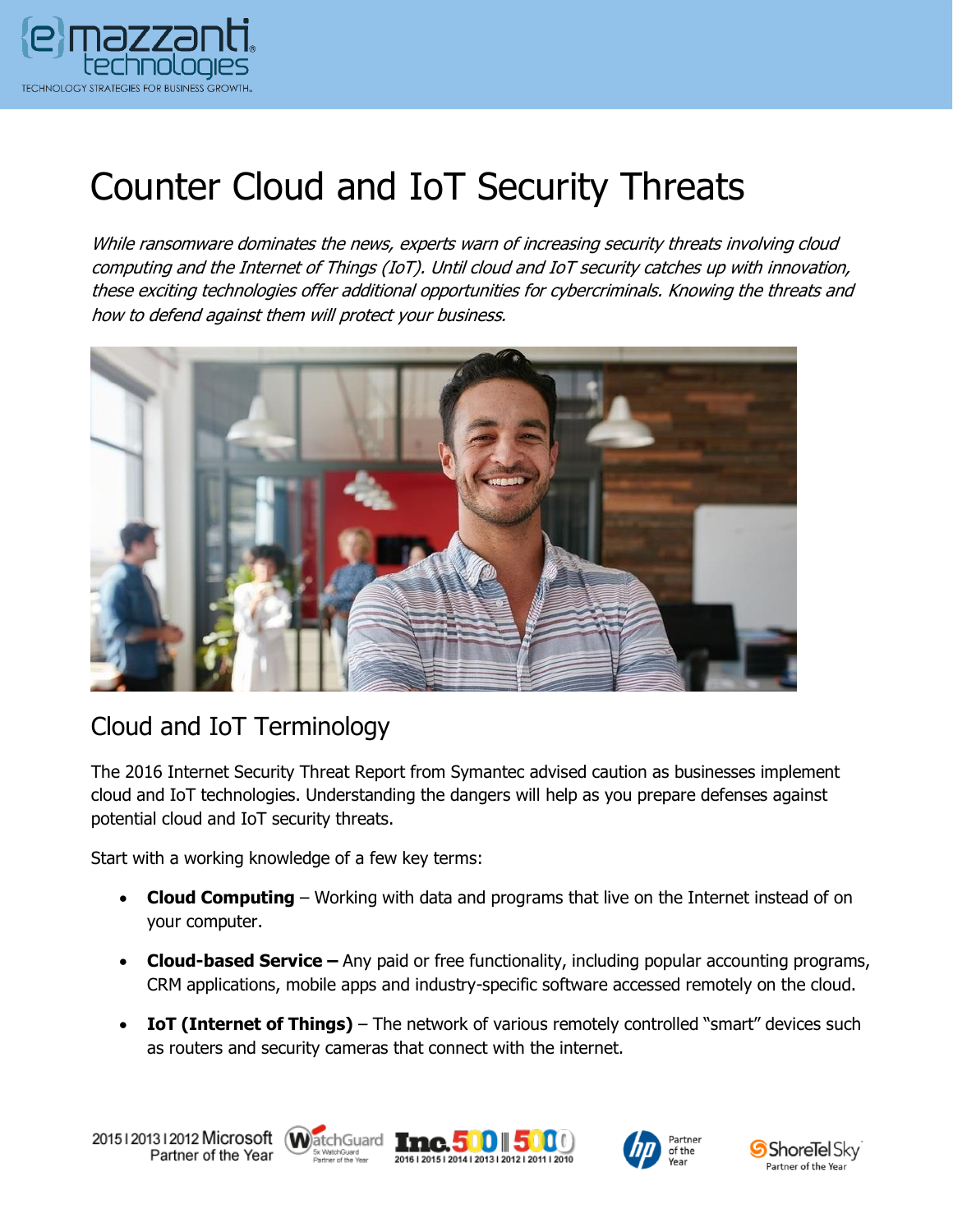

# Counter Cloud and IoT Security Threats

While ransomware dominates the news, experts warn of increasing security threats involving cloud computing and the Internet of Things (IoT). Until cloud and IoT security catches up with innovation, these exciting technologies offer additional opportunities for cybercriminals. Knowing the threats and how to defend against them will protect your business.



#### Cloud and IoT Terminology

The 2016 Internet Security Threat Report from Symantec advised caution as businesses implement cloud and IoT technologies. Understanding the dangers will help as you prepare defenses against potential cloud and IoT security threats.

Start with a working knowledge of a few key terms:

- **Cloud Computing**  Working with data and programs that live on the Internet instead of on your computer.
- **Cloud-based Service –** Any paid or free functionality, including popular accounting programs, CRM applications, mobile apps and industry-specific software accessed remotely on the cloud.
- **IoT (Internet of Things)** The network of various remotely controlled "smart" devices such as routers and security cameras that connect with the internet.





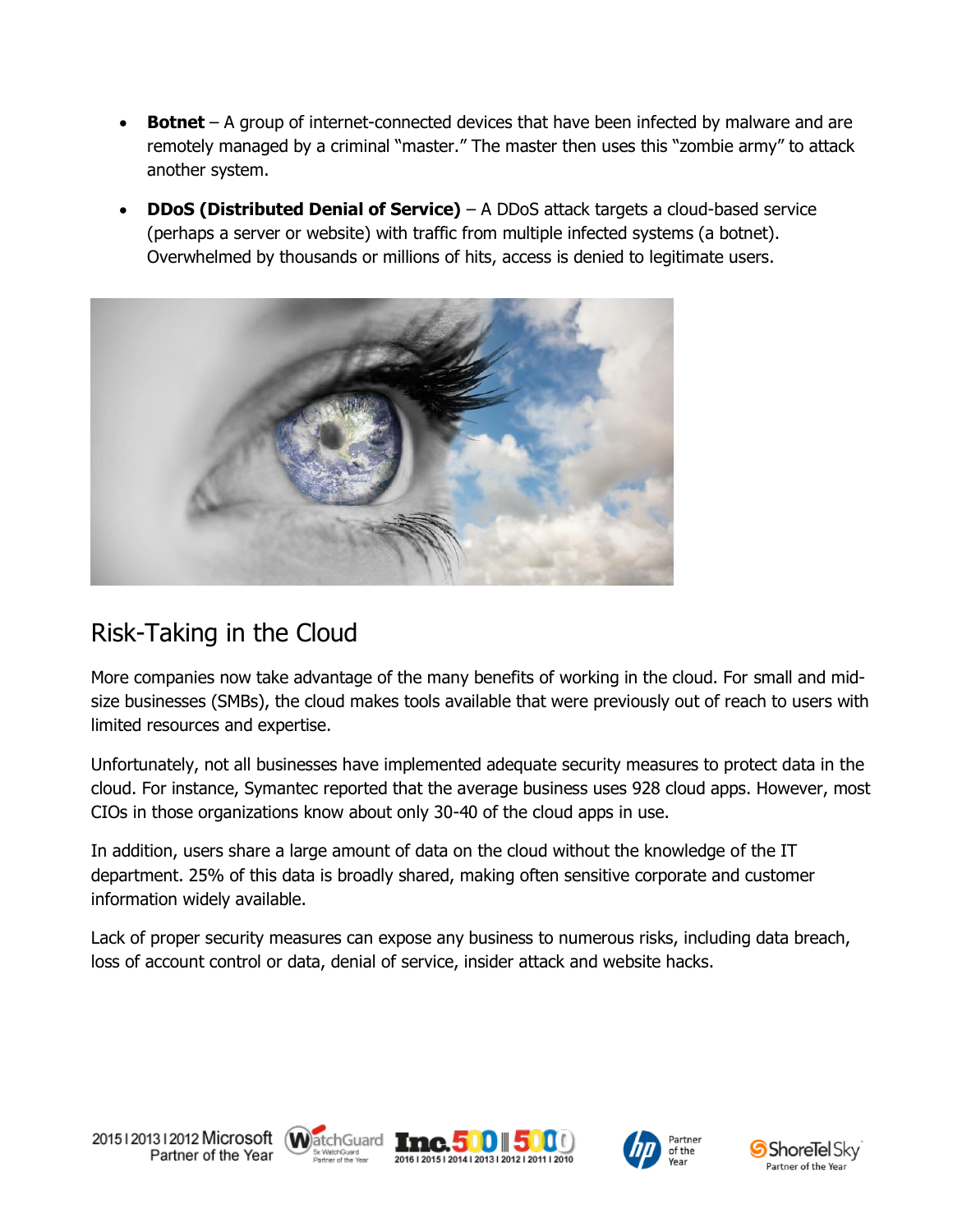- **Botnet**  A group of internet-connected devices that have been infected by malware and are remotely managed by a criminal "master." The master then uses this "zombie army" to attack another system.
- **DDoS (Distributed Denial of Service)** A DDoS attack targets a cloud-based service (perhaps a server or website) with traffic from multiple infected systems (a botnet). Overwhelmed by thousands or millions of hits, access is denied to legitimate users.



### Risk-Taking in the Cloud

More companies now take advantage of the many benefits of working in the cloud. For small and midsize businesses (SMBs), the cloud makes tools available that were previously out of reach to users with limited resources and expertise.

Unfortunately, not all businesses have implemented adequate security measures to protect data in the cloud. For instance, Symantec reported that the average business uses 928 cloud apps. However, most CIOs in those organizations know about only 30-40 of the cloud apps in use.

In addition, users share a large amount of data on the cloud without the knowledge of the IT department. 25% of this data is broadly shared, making often sensitive corporate and customer information widely available.

Lack of proper security measures can expose any business to numerous risks, including data breach, loss of account control or data, denial of service, insider attack and website hacks.









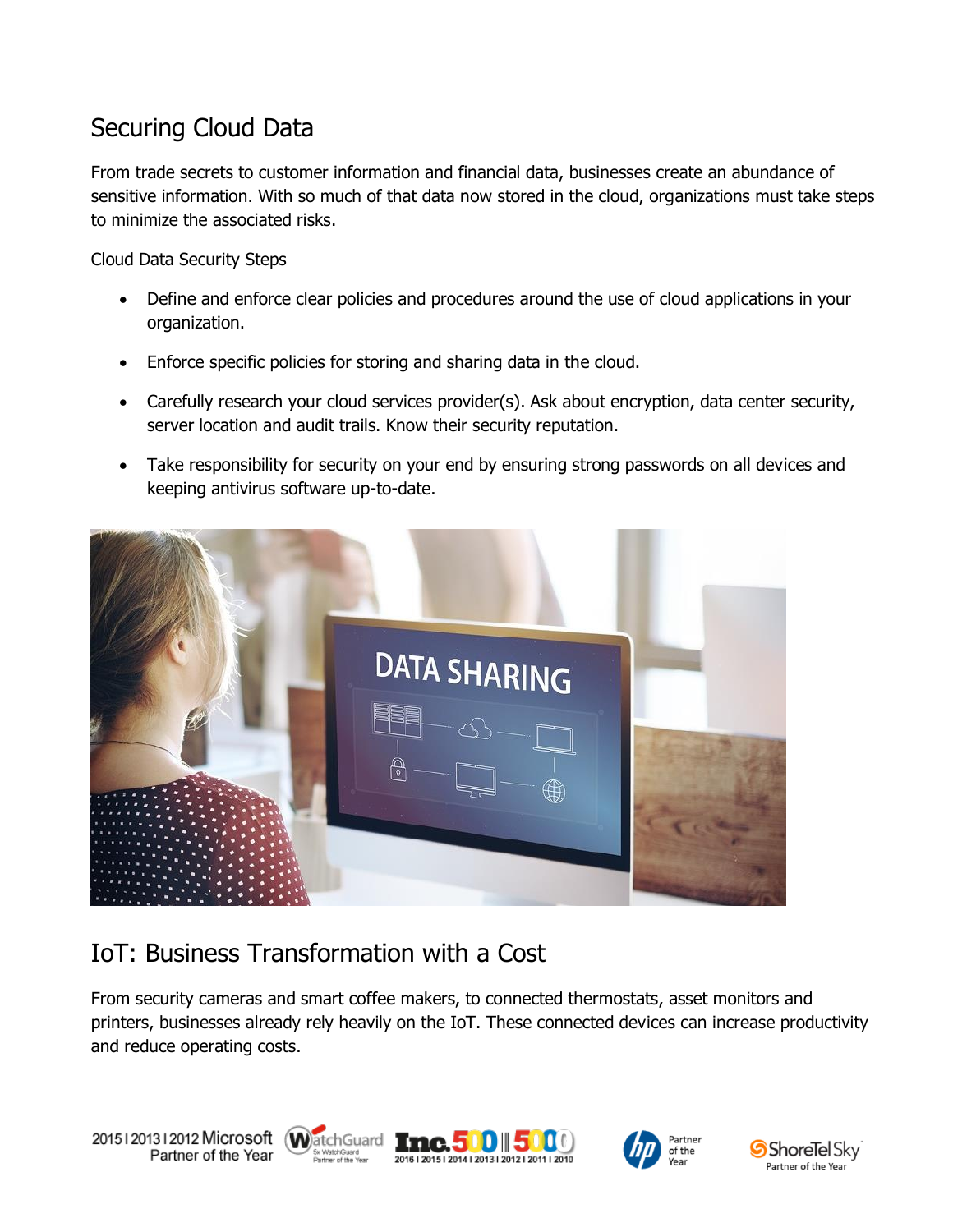### Securing Cloud Data

From trade secrets to customer information and financial data, businesses create an abundance of sensitive information. With so much of that data now stored in the cloud, organizations must take steps to minimize the associated risks.

Cloud Data Security Steps

- Define and enforce clear policies and procedures around the use of cloud applications in your organization.
- Enforce specific policies for storing and sharing data in the cloud.
- Carefully research your cloud services provider(s). Ask about encryption, data center security, server location and audit trails. Know their security reputation.
- Take responsibility for security on your end by ensuring strong passwords on all devices and keeping antivirus software up-to-date.



## IoT: Business Transformation with a Cost

From security cameras and smart coffee makers, to connected thermostats, asset monitors and printers, businesses already rely heavily on the IoT. These connected devices can increase productivity and reduce operating costs.





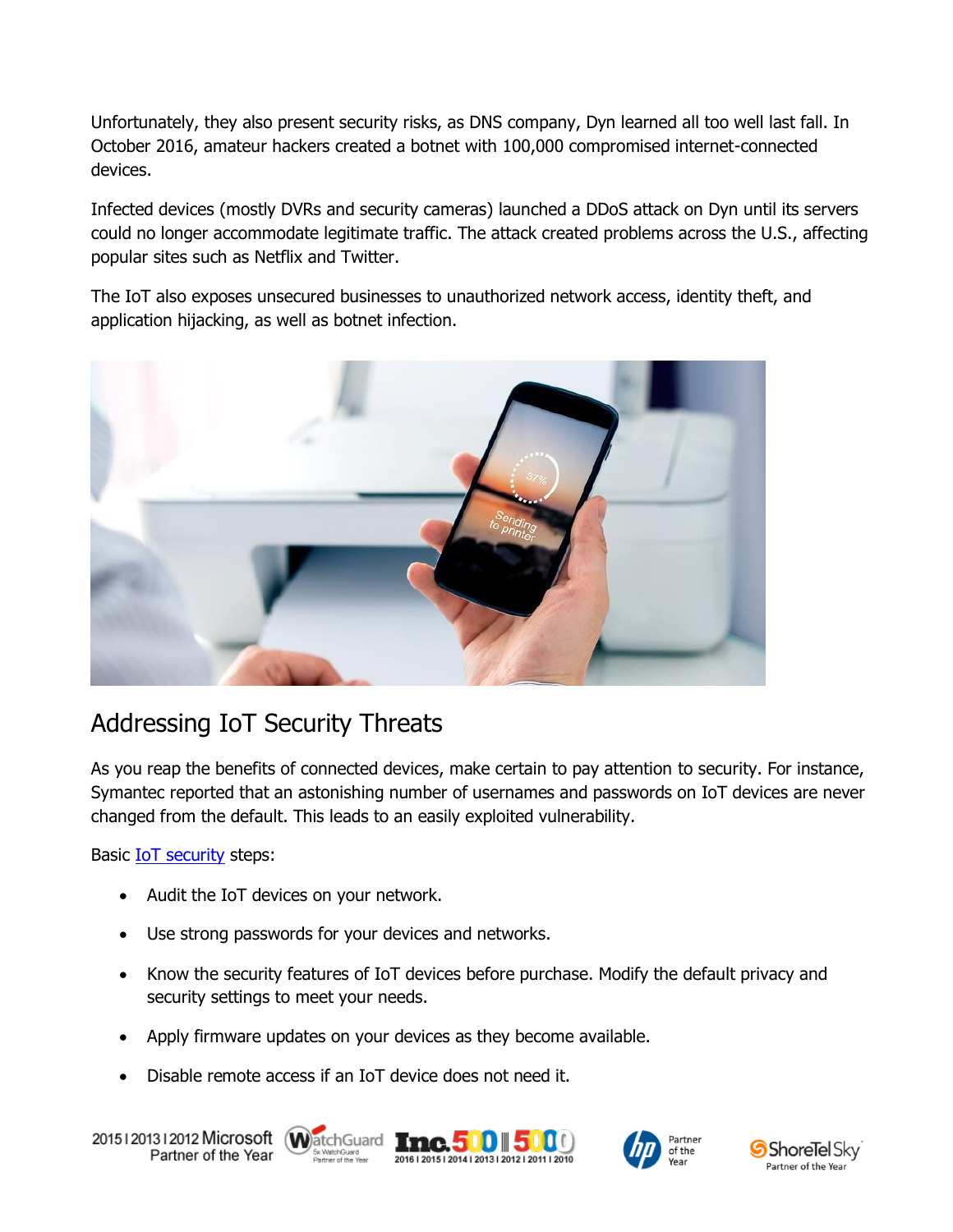Unfortunately, they also present security risks, as DNS company, Dyn learned all too well last fall. In October 2016, amateur hackers created a botnet with 100,000 compromised internet-connected devices.

Infected devices (mostly DVRs and security cameras) launched a DDoS attack on Dyn until its servers could no longer accommodate legitimate traffic. The attack created problems across the U.S., affecting popular sites such as Netflix and Twitter.

The IoT also exposes unsecured businesses to unauthorized network access, identity theft, and application hijacking, as well as botnet infection.



### Addressing IoT Security Threats

As you reap the benefits of connected devices, make certain to pay attention to security. For instance, Symantec reported that an astonishing number of usernames and passwords on IoT devices are never changed from the default. This leads to an easily exploited vulnerability.

Basic **IoT** security steps:

- Audit the IoT devices on your network.
- Use strong passwords for your devices and networks.
- Know the security features of IoT devices before purchase. Modify the default privacy and security settings to meet your needs.
- Apply firmware updates on your devices as they become available.
- Disable remote access if an IoT device does not need it.

20151201312012 Microsoft WatchGuard Tnc. 500 500 0 Partner of the Year